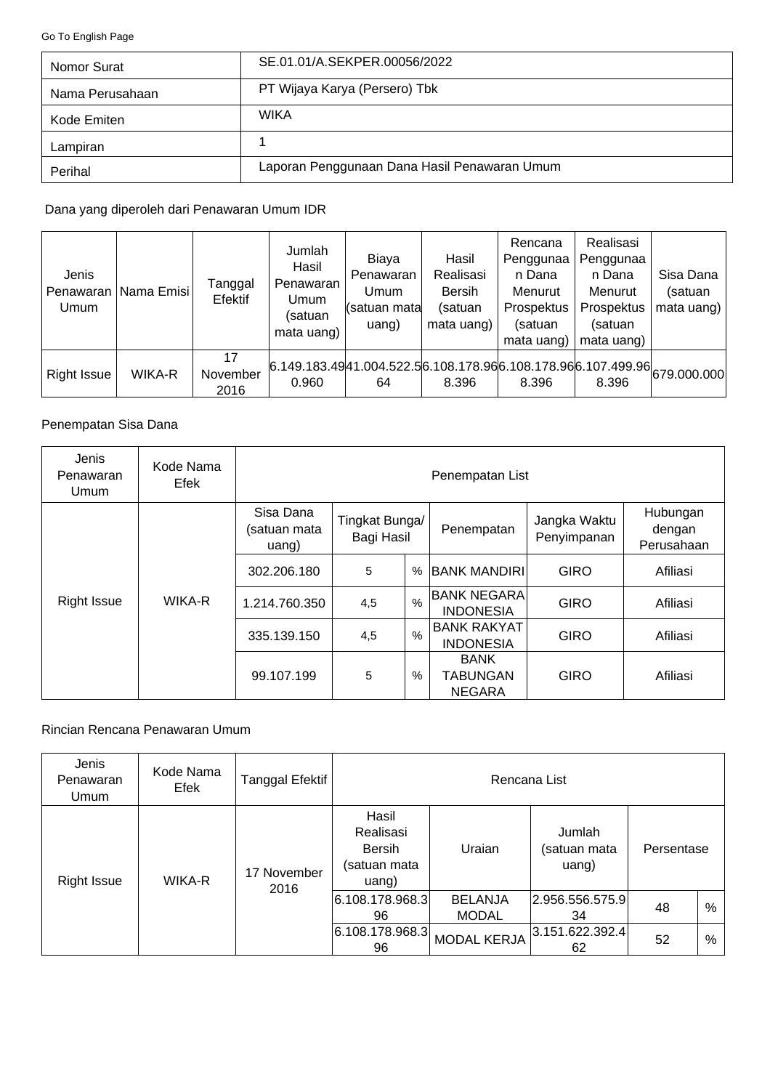<span id="page-0-0"></span>[Go To English Page](#page-3-0)

| Nomor Surat     | SE 01.01/A SEKPER 00056/2022                 |
|-----------------|----------------------------------------------|
| Nama Perusahaan | PT Wijaya Karya (Persero) Tbk                |
| Kode Emiten     | <b>WIKA</b>                                  |
| Lampiran        |                                              |
| Perihal         | Laporan Penggunaan Dana Hasil Penawaran Umum |

Dana yang diperoleh dari Penawaran Umum IDR

| Jenis<br>Umum      | Penawaran   Nama Emisi | Tanggal<br>Efektif     | Jumlah<br>Hasil<br>Penawaran<br>Umum<br>(satuan<br>mata uang) | Biaya<br>Penawaran<br>Umum<br>(satuan mata<br>uang)                                     | Hasil<br>Realisasi<br><b>Bersih</b><br>(satuan<br>mata uang) | Rencana<br>Penggunaa<br>n Dana<br>Menurut<br>Prospektus<br>(satuan<br>mata uang) | Realisasi<br>Penggunaa<br>n Dana<br>Menurut<br>Prospektus<br>(satuan<br>mata uang) | Sisa Dana<br>(satuan<br>mata uang) $ $ |
|--------------------|------------------------|------------------------|---------------------------------------------------------------|-----------------------------------------------------------------------------------------|--------------------------------------------------------------|----------------------------------------------------------------------------------|------------------------------------------------------------------------------------|----------------------------------------|
| <b>Right Issue</b> | WIKA-R                 | 17<br>November<br>2016 | 0.960                                                         | $6.149.183.4941.004.522.56.108.178.966.108.178.966.107.499.9666.107.499.000.0000$<br>64 | 8.396                                                        | 8.396                                                                            | 8.396                                                                              |                                        |

## Penempatan Sisa Dana

| Jenis<br>Penawaran<br>Umum | Kode Nama<br>Efek | Penempatan List                       |                              |               |                                                 |                             |                                  |  |
|----------------------------|-------------------|---------------------------------------|------------------------------|---------------|-------------------------------------------------|-----------------------------|----------------------------------|--|
|                            |                   | Sisa Dana<br>(satuan mata<br>$u$ ang) | Tingkat Bunga/<br>Bagi Hasil |               | Penempatan                                      | Jangka Waktu<br>Penyimpanan | Hubungan<br>dengan<br>Perusahaan |  |
|                            |                   | 302.206.180                           | 5                            | $\%$          | <b>BANK MANDIRIL</b>                            | <b>GIRO</b>                 | Afiliasi                         |  |
| <b>Right Issue</b>         | WIKA-R            | 1.214.760.350                         | 4,5                          | $\frac{0}{0}$ | BANK NEGARA<br><b>INDONESIA</b>                 | <b>GIRO</b>                 | Afiliasi                         |  |
|                            |                   | 335.139.150                           | 4,5                          | $\%$          | <b>BANK RAKYAT</b><br><b>INDONESIA</b>          | <b>GIRO</b>                 | Afiliasi                         |  |
|                            |                   | 99.107.199                            | 5                            | %             | <b>BANK</b><br><b>TABUNGAN</b><br><b>NEGARA</b> | <b>GIRO</b>                 | Afiliasi                         |  |

### Rincian Rencana Penawaran Umum

| Jenis<br>Penawaran<br>Umum | Kode Nama<br>Efek | Tanggal Efektif     | Rencana List                                                 |                                |                                 |            |   |  |
|----------------------------|-------------------|---------------------|--------------------------------------------------------------|--------------------------------|---------------------------------|------------|---|--|
| <b>Right Issue</b>         | WIKA-R            | 17 November<br>2016 | Hasil<br>Realisasi<br><b>Bersih</b><br>(satuan mata<br>uang) | Uraian                         | Jumlah<br>(satuan mata<br>uang) | Persentase |   |  |
|                            |                   |                     | 6.108.178.968.3 <br>96                                       | <b>BELANJA</b><br><b>MODAL</b> | 2.956.556.575.9 <br>34          | 48         | % |  |
|                            |                   |                     | 6.108.178.968.3 <br>96                                       | <b>MODAL KERJA</b>             | 3.151.622.392.4 <br>62          | 52         | % |  |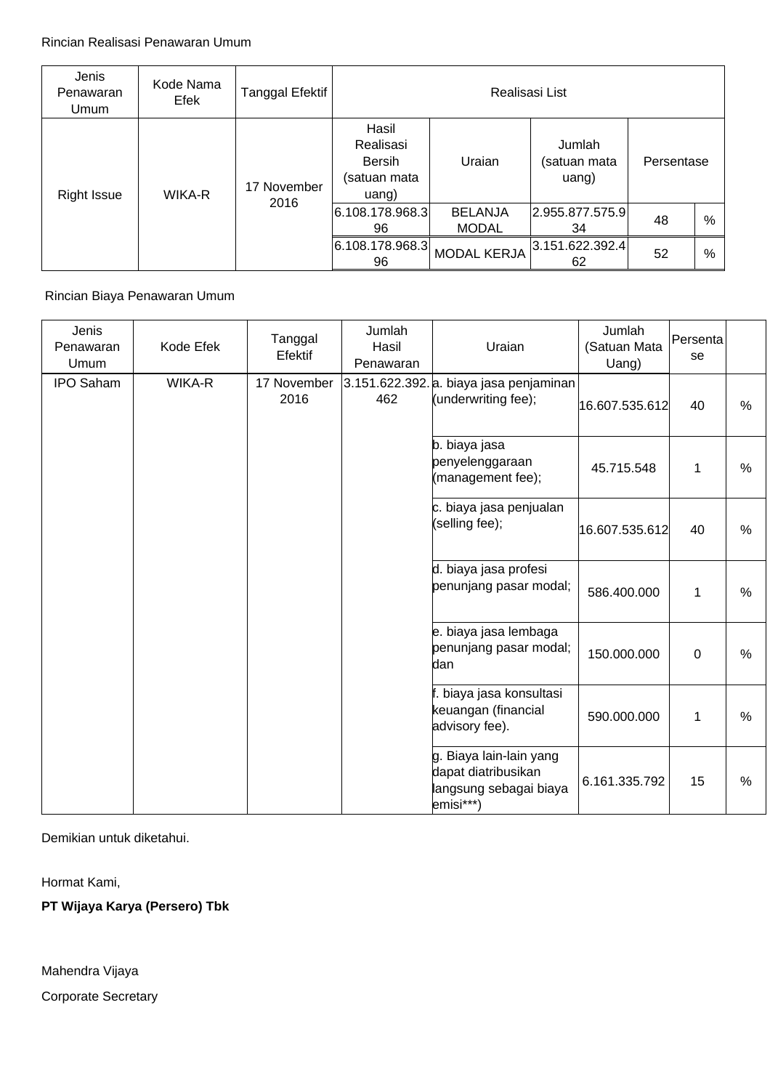| Jenis<br>Penawaran<br>Umum | Kode Nama<br>Efek | Tanggal Efektif | Realisasi List                                        |                                |                                 |            |   |  |
|----------------------------|-------------------|-----------------|-------------------------------------------------------|--------------------------------|---------------------------------|------------|---|--|
| <b>Right Issue</b>         | WIKA-R            | 17 November     | Hasil<br>Realisasi<br>Bersih<br>(satuan mata<br>uang) | Uraian                         | Jumlah<br>(satuan mata<br>uang) | Persentase |   |  |
|                            |                   | 2016            | 6.108.178.968.3 <br>96                                | <b>BELANJA</b><br><b>MODAL</b> | 2.955.877.575.9 <br>34          | 48         | % |  |
|                            |                   |                 | 6.108.178.968.3 <br>96                                | <b>MODAL KERJA</b>             | 3.151.622.392.4 <br>62          | 52         | % |  |

## Rincian Biaya Penawaran Umum

| Jenis<br>Penawaran<br>Umum | Kode Efek     | Tanggal<br>Efektif  | Jumlah<br>Hasil<br>Penawaran | Uraian                                                                                | Jumlah<br>(Satuan Mata<br>Uang) | Persenta<br>se |      |
|----------------------------|---------------|---------------------|------------------------------|---------------------------------------------------------------------------------------|---------------------------------|----------------|------|
| <b>IPO Saham</b>           | <b>WIKA-R</b> | 17 November<br>2016 | 462                          | 3.151.622.392. a. biaya jasa penjaminan<br>(underwriting fee);                        | 16.607.535.612                  | 40             | %    |
|                            |               |                     |                              | b. biaya jasa<br>penyelenggaraan<br>(management fee);                                 | 45.715.548                      | 1              | %    |
|                            |               |                     |                              | c. biaya jasa penjualan<br>(selling fee);                                             | 16.607.535.612                  | 40             | %    |
|                            |               |                     |                              | d. biaya jasa profesi<br>penunjang pasar modal;                                       | 586.400.000                     | 1              | %    |
|                            |               |                     |                              | e. biaya jasa lembaga<br>penunjang pasar modal;<br>dan                                | 150.000.000                     | $\mathbf 0$    | $\%$ |
|                            |               |                     |                              | biaya jasa konsultasi<br>keuangan (financial<br>advisory fee).                        | 590.000.000                     | 1              | %    |
|                            |               |                     |                              | g. Biaya lain-lain yang<br>dapat diatribusikan<br>langsung sebagai biaya<br>emisi***) | 6.161.335.792                   | 15             | %    |

Demikian untuk diketahui.

Hormat Kami,

**PT Wijaya Karya (Persero) Tbk**

Corporate Secretary Mahendra Vijaya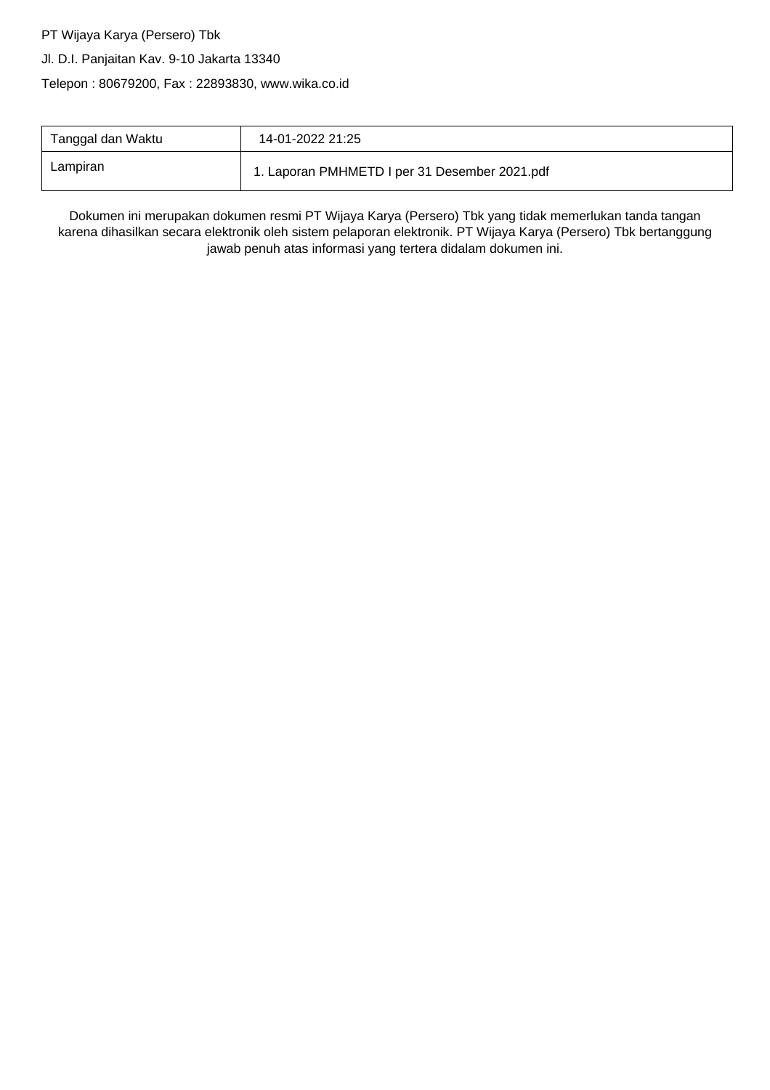#### PT Wijaya Karya (Persero) Tbk

#### Jl. D.I. Panjaitan Kav. 9-10 Jakarta 13340

Telepon : 80679200, Fax : 22893830, www.wika.co.id

| Tanggal dan Waktu | 14-01-2022 21:25                              |
|-------------------|-----------------------------------------------|
| Lampiran          | 1. Laporan PMHMETD I per 31 Desember 2021.pdf |

Dokumen ini merupakan dokumen resmi PT Wijaya Karya (Persero) Tbk yang tidak memerlukan tanda tangan karena dihasilkan secara elektronik oleh sistem pelaporan elektronik. PT Wijaya Karya (Persero) Tbk bertanggung jawab penuh atas informasi yang tertera didalam dokumen ini.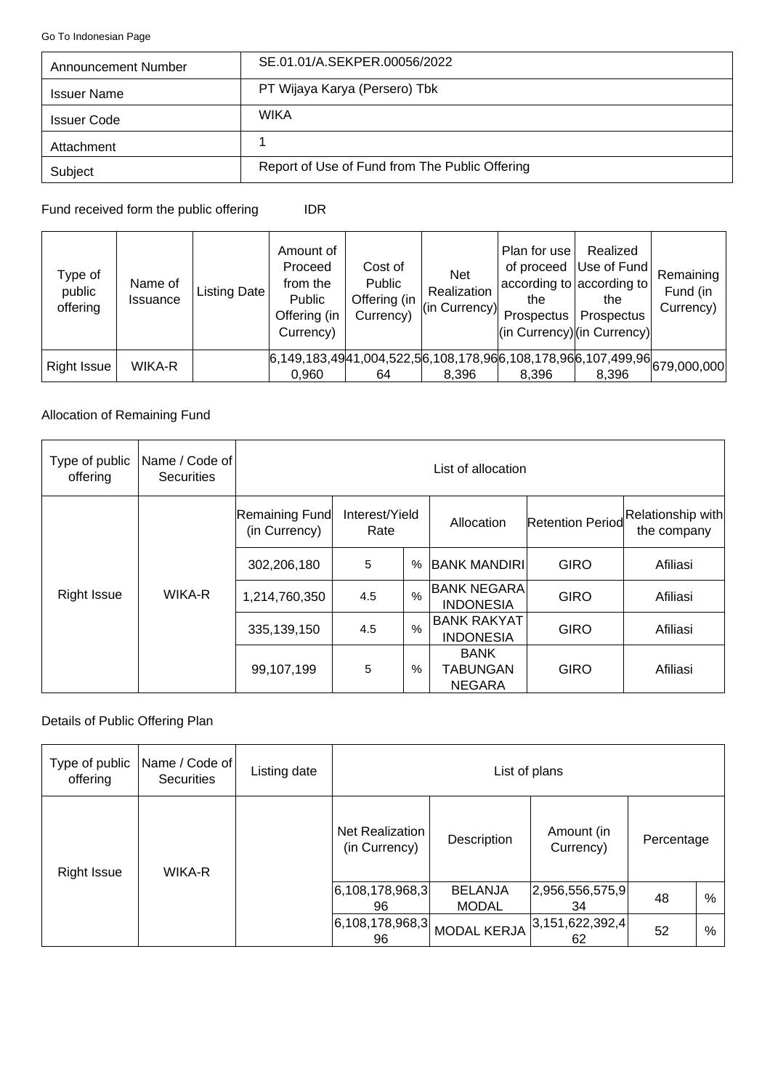<span id="page-3-0"></span>[Go To Indonesian Page](#page-0-0)

| Announcement Number | SE.01.01/A.SEKPER.00056/2022                   |
|---------------------|------------------------------------------------|
| <b>Issuer Name</b>  | PT Wijaya Karya (Persero) Tbk                  |
| <b>Issuer Code</b>  | <b>WIKA</b>                                    |
| Attachment          |                                                |
| Subject             | Report of Use of Fund from The Public Offering |

Fund received form the public offering IDR

| Type of<br>public<br>offering | Name of<br>Issuance | Listing Date | Amount of<br>Proceed<br>from the<br>Public<br>Offering (in<br>Currency) | Cost of<br>Public<br>Offering (in<br>Currency) | <b>Net</b><br>Realization<br>(in Currency) | Plan for use<br>the<br>Prospectus <sup>1</sup> | Realized<br>of proceed Use of Fund<br>according to according to<br>the<br>Prospectus<br>$\vert$ (in Currency) $\vert$ (in Currency) $\vert$ | Remaining<br>Fund (in<br>Currency) |
|-------------------------------|---------------------|--------------|-------------------------------------------------------------------------|------------------------------------------------|--------------------------------------------|------------------------------------------------|---------------------------------------------------------------------------------------------------------------------------------------------|------------------------------------|
| <b>Right Issue</b>            | WIKA-R              |              | 0,960                                                                   | 64                                             | 8,396                                      | 8,396                                          | $6,149,183,4941,004,522,56,108,178,966,108,178,966,107,499,966,679,000,000$<br>8,396                                                        |                                    |

## Allocation of Remaining Fund

| Type of public<br>offering | Name / Code of<br><b>Securities</b> | List of allocation                                        |     |            |                                                 |                                  |          |  |
|----------------------------|-------------------------------------|-----------------------------------------------------------|-----|------------|-------------------------------------------------|----------------------------------|----------|--|
|                            |                                     | Remaining Fund<br>Interest/Yield<br>(in Currency)<br>Rate |     | Allocation | Retention Period                                | Relationship with<br>the company |          |  |
|                            |                                     | 302,206,180                                               | 5   | $\%$       | <b>BANK MANDIRI</b>                             | <b>GIRO</b>                      | Afiliasi |  |
| <b>Right Issue</b>         | WIKA-R                              | 1,214,760,350                                             | 4.5 | $\%$       | BANK NEGARA <br><b>INDONESIA</b>                | <b>GIRO</b>                      | Afiliasi |  |
|                            |                                     | 335, 139, 150                                             | 4.5 | %          | <b>BANK RAKYAT</b><br><b>INDONESIA</b>          | <b>GIRO</b>                      | Afiliasi |  |
|                            |                                     | 99,107,199                                                | 5   | %          | <b>BANK</b><br><b>TABUNGAN</b><br><b>NEGARA</b> | <b>GIRO</b>                      | Afiliasi |  |

## Details of Public Offering Plan

| Type of public<br>offering | Name / Code of<br><b>Securities</b> | Listing date | List of plans                           |                            |                                |                        |    |   |
|----------------------------|-------------------------------------|--------------|-----------------------------------------|----------------------------|--------------------------------|------------------------|----|---|
| <b>Right Issue</b>         | WIKA-R                              |              | <b>Net Realization</b><br>(in Currency) | Description                | Amount (in<br>Currency)        | Percentage             |    |   |
|                            |                                     |              |                                         | 6, 108, 178, 968, 3 <br>96 | <b>BELANJA</b><br><b>MODAL</b> | 2,956,556,575,9 <br>34 | 48 | % |
|                            |                                     |              | 6, 108, 178, 968, 3 <br>96              | <b>MODAL KERJA</b>         | 3,151,622,392,4 <br>62         | 52                     | %  |   |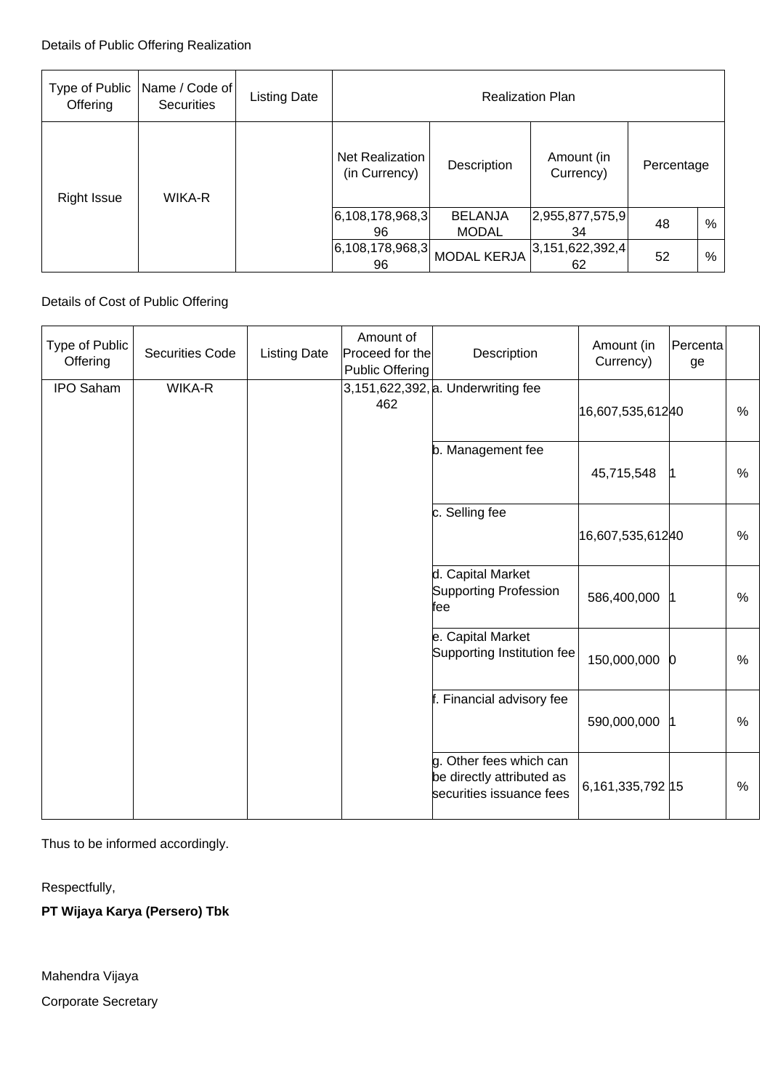| Type of Public<br>Offering | Name / Code of<br>Securities | <b>Listing Date</b> | <b>Realization Plan</b>                 |                            |                                |                         |    |   |
|----------------------------|------------------------------|---------------------|-----------------------------------------|----------------------------|--------------------------------|-------------------------|----|---|
| Right Issue                | WIKA-R                       |                     | <b>Net Realization</b><br>(in Currency) | Description                | Amount (in<br>Currency)        | Percentage              |    |   |
|                            |                              |                     |                                         | 6, 108, 178, 968, 3 <br>96 | <b>BELANJA</b><br><b>MODAL</b> | [2,955,877,575,9]<br>34 | 48 | % |
|                            |                              |                     | 6, 108, 178, 968, 3 <br>96              | <b>MODAL KERJA</b>         | 3,151,622,392,4 <br>62         | 52                      | %  |   |

# Details of Cost of Public Offering

| Type of Public<br>Offering | <b>Securities Code</b> | <b>Listing Date</b> | Amount of<br>Proceed for the<br>Public Offering | Description                                                                      | Amount (in<br>Currency) | Percenta<br>ge |               |
|----------------------------|------------------------|---------------------|-------------------------------------------------|----------------------------------------------------------------------------------|-------------------------|----------------|---------------|
| <b>IPO Saham</b>           | WIKA-R                 |                     | 462                                             | 3,151,622,392, a. Underwriting fee                                               | 16,607,535,61240        |                | %             |
|                            |                        |                     |                                                 | b. Management fee                                                                | 45,715,548              | l1             | $\%$          |
|                            |                        |                     |                                                 | c. Selling fee                                                                   | 16,607,535,61240        |                | %             |
|                            |                        |                     |                                                 | d. Capital Market<br>Supporting Profession<br>fee                                | 586,400,000             | 11             | %             |
|                            |                        |                     |                                                 | e. Capital Market<br>Supporting Institution fee                                  | 150,000,000             | $\bf{0}$       | %             |
|                            |                        |                     |                                                 | f. Financial advisory fee                                                        | 590,000,000             | 11             | $\frac{0}{0}$ |
|                            |                        |                     |                                                 | g. Other fees which can<br>be directly attributed as<br>securities issuance fees | 6,161,335,792 15        |                | %             |

Thus to be informed accordingly.

Respectfully,

**PT Wijaya Karya (Persero) Tbk**

Mahendra Vijaya

Corporate Secretary